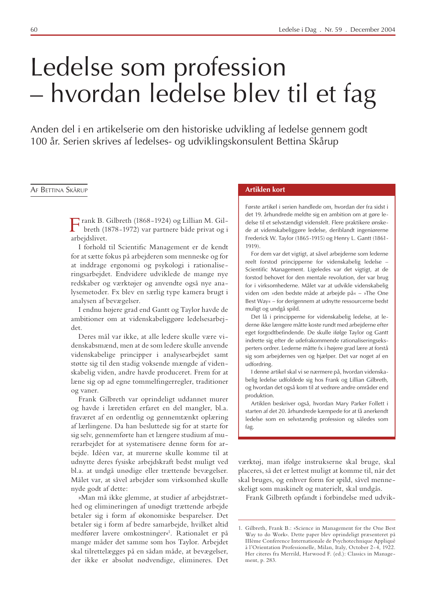# Ledelse som profession - hvordan ledelse blev til et fag

Anden del i en artikelserie om den historiske udvikling af ledelse gennem godt 100 år. Serien skrives af ledelses- og udviklingskonsulent Bettina Skårup

#### AF BETTINA SKÅRUP

Trank B. Gilbreth (1868-1924) og Lillian M. Gilbreth (1878-1972) var partnere både privat og i arbejdslivet.

I forhold til Scientific Management er de kendt for at sætte fokus på arbejderen som menneske og for at inddrage ergonomi og psykologi i rationaliseringsarbejdet. Endvidere udviklede de mange nye redskaber og værktøjer og anvendte også nye analysemetoder. Fx blev en særlig type kamera brugt i analysen af bevægelser.

I endnu højere grad end Gantt og Taylor havde de ambitioner om at videnskabeliggøre ledelsesarbejdet.

Deres mål var ikke, at alle ledere skulle være videnskabsmænd, men at de som ledere skulle anvende videnskabelige principper i analysearbejdet samt støtte sig til den stadig voksende mængde af videnskabelig viden, andre havde produceret. Frem for at læne sig op ad egne tommelfingerregler, traditioner og vaner.

Frank Gilbreth var oprindeligt uddannet murer og havde i læretiden erfaret en del mangler, bl.a. fraværet af en ordentlig og gennemtænkt oplæring af lærlingene. Da han besluttede sig for at starte for sig selv, gennemførte han et længere studium af murerarbejdet for at systematisere denne form for arbejde. Idéen var, at murerne skulle komme til at udnytte deres fysiske arbejdskraft bedst muligt ved bl.a. at undgå unødige eller trættende bevægelser. Målet var, at såvel arbejder som virksomhed skulle nyde godt af dette:

»Man må ikke glemme, at studier af arbejdstræthed og elimineringen af unødigt trættende arbejde betaler sig i form af økonomiske besparelser. Det betaler sig i form af bedre samarbejde, hvilket altid medfører lavere omkostninger«<sup>1</sup>. Rationalet er på mange måder det samme som hos Taylor. Arbejdet skal tilrettelægges på en sådan måde, at bevægelser, der ikke er absolut nødvendige, elimineres. Det

#### **Artiklen kort**

Første artikel i serien handlede om, hvordan der fra sidst i det 19. århundrede meldte sig en ambition om at gøre ledelse til et selvstændigt vidensfelt. Flere praktikere ønskede at videnskabeliggøre ledelse, deriblandt ingeniørerne Frederick W. Taylor (1865-1915) og Henry L. Gantt (1861- $1919$ ).

For dem var det vigtigt, at såvel arbejderne som lederne reelt forstod principperne for videnskabelig ledelse -Scientific Management. Ligeledes var det vigtigt, at de forstod behovet for den mentale revolution, der var brug for i virksomhederne. Målet var at udvikle videnskabelig viden om »den bedste måde at arbejde på« - »The One Best Way« - for derigennem at udnytte ressourcerne bedst muligt og undgå spild.

Det lå i principperne for videnskabelig ledelse, at lederne ikke længere måtte koste rundt med arbejderne efter eget forgodtbefindende. De skulle ifølge Taylor og Gantt indrette sig efter de udefrakommende rationaliseringseksperters ordrer. Lederne måtte fx i højere grad lære at forstå sig som arbejdernes ven og hjælper. Det var noget af en udfordring

I denne artikel skal vi se nærmere på, hvordan videnskabelig ledelse udfoldede sig hos Frank og Lillian Gilbreth, og hvordan det også kom til at vedrøre andre områder end produktion.

Artiklen beskriver også, hvordan Mary Parker Follett i starten af det 20. århundrede kæmpede for at få anerkendt ledelse som en selvstændig profession og således som fag.

værktøj, man ifølge instrukserne skal bruge, skal placeres, så det er lettest muligt at komme til, når det skal bruges, og enhver form for spild, såvel menneskeligt som maskinelt og materielt, skal undgås.

Frank Gilbreth opfandt i forbindelse med udvik-

<sup>1.</sup> Gilbreth, Frank B.: »Science in Management for the One Best Way to do Work«. Dette paper blev oprindeligt præsenteret på IIIème Conference Internationale de Psychotechnique Appliqué à l'Orientation Professionelle, Milan, Italy, October 2-4, 1922. Her citeres fra Merrild, Harwood F. (ed.): Classics in Management, p. 283.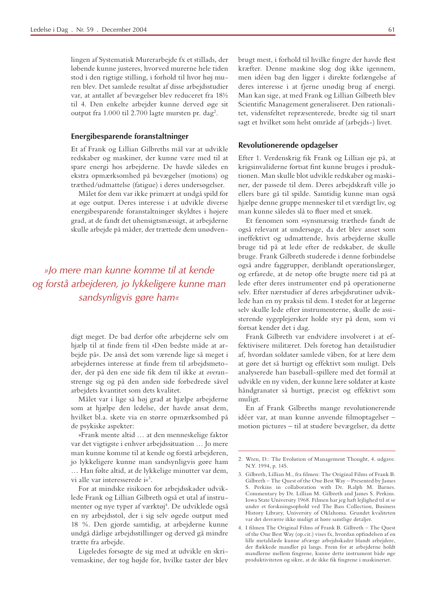lingen af Systematisk Murerarbejde fx et stillads, der løbende kunne justeres, hvorved murerne hele tiden stod i den rigtige stilling, i forhold til hvor høj muren blev. Det samlede resultat af disse arbejdsstudier var, at antallet af bevægelser blev reduceret fra 18½ til 4. Den enkelte arbejder kunne derved øge sit output fra 1.000 til 2.700 lagte mursten pr. dag<sup>2</sup>.

## Energibesparende foranstaltninger

Et af Frank og Lillian Gilbreths mål var at udvikle redskaber og maskiner, der kunne være med til at spare energi hos arbejderne. De havde således en ekstra opmærksomhed på bevægelser (motions) og træthed/udmattelse (fatigue) i deres undersøgelser.

Målet for dem var ikke primært at undgå spild for at øge output. Deres interesse i at udvikle diverse energibesparende foranstaltninger skyldtes i højere grad, at de fandt det uhensigtsmæssigt, at arbejderne skulle arbejde på måder, der trættede dem unødven-

» lo mere man kunne komme til at kende og forstå arbejderen, jo lykkeligere kunne man sandsynligvis gøre ham«

> digt meget. De bad derfor ofte arbejderne selv om hjælp til at finde frem til »Den bedste måde at arbejde på«. De anså det som værende lige så meget i arbejdernes interesse at finde frem til arbejdsmetoder, der på den ene side fik dem til ikke at overanstrenge sig og på den anden side forbedrede såvel arbejdets kvantitet som dets kvalitet.

> Målet var i lige så høj grad at hjælpe arbejderne som at hjælpe den ledelse, der havde ansat dem, hvilket bl.a. skete via en større opmærksomhed på de psykiske aspekter:

> »Frank mente altid ... at den menneskelige faktor var det vigtigste i enhver arbejdssituation ... Jo mere man kunne komme til at kende og forstå arbejderen, jo lykkeligere kunne man sandsynligvis gøre ham ... Han følte altid, at de lykkelige minutter var dem, vi alle var interesserede i«<sup>3</sup>.

> For at mindske risikoen for arbejdsskader udviklede Frank og Lillian Gilbreth også et utal af instrumenter og nye typer af værktøj<sup>4</sup>. De udviklede også en ny arbejdsstol, der i sig selv øgede output med 18 %. Den gjorde samtidig, at arbejderne kunne undgå dårlige arbejdsstillinger og derved gå mindre trætte fra arbejde.

> Ligeledes forsøgte de sig med at udvikle en skrivemaskine, der tog højde for, hvilke taster der blev

brugt mest, i forhold til hvilke fingre der havde flest kræfter. Denne maskine slog dog ikke igennem, men idéen bag den ligger i direkte forlængelse af deres interesse i at fjerne unødig brug af energi. Man kan sige, at med Frank og Lillian Gilbreth blev Scientific Management generaliseret. Den rationalitet, vidensfeltet repræsenterede, bredte sig til snart sagt et hvilket som helst område af (arbejds-) livet.

# Revolutionerende opdagelser

Efter 1. Verdenskrig fik Frank og Lillian øje på, at krigsinvaliderne fortsat fint kunne bruges i produktionen. Man skulle blot udvikle redskaber og maskiner, der passede til dem. Deres arbejdskraft ville jo ellers bare gå til spilde. Samtidig kunne man også hjælpe denne gruppe mennesker til et værdigt liv. og man kunne således slå to fluer med et smæk.

Et fænomen som »synsmæssig træthed« fandt de også relevant at undersøge, da det blev anset som ineffektivt og udmattende, hvis arbejderne skulle bruge tid på at lede efter de redskaber, de skulle bruge. Frank Gilbreth studerede i denne forbindelse også andre faggrupper, deriblandt operationslæger, og erfarede, at de netop ofte brugte mere tid på at lede efter deres instrumenter end på operationerne selv. Efter nærstudier af deres arbejdsrutiner udviklede han en ny praksis til dem. I stedet for at lægerne selv skulle lede efter instrumenterne, skulle de assisterende sygeplejersker holde styr på dem, som vi fortsat kender det i dag.

Frank Gilbreth var endvidere involveret i at effektivisere militæret. Dels foretog han detailstudier af, hvordan soldater samlede våben, for at lære dem at gøre det så hurtigt og effektivt som muligt. Dels analyserede han baseball-spillere med det formål at udvikle en ny viden, der kunne lære soldater at kaste håndgranater så hurtigt, præcist og effektivt som muligt.

En af Frank Gilbreths mange revolutionerende idéer var, at man kunne anvende filmoptagelser motion pictures - til at studere bevægelser, da dette

<sup>2.</sup> Wren, D.: The Evolution of Management Thought, 4. udgave. N.Y. 1994, p. 145.

<sup>3.</sup> Gilbreth, Lillian M., fra filmen: The Original Films of Frank B. Gilbreth - The Quest of the One Best Way - Presented by James S. Perkins in collaboration with Dr. Ralph M. Barnes. Commentary by Dr. Lillian M. Gilbreth and James S. Perkins. Iowa State University 1968. Filmen har jeg haft lejlighed til at se under et forskningsophold ved The Bass Collection, Business History Library, University of Oklahoma. Grundet kvaliteten var det desværre ikke muligt at høre samtlige detaljer.

<sup>4.</sup> I filmen The Original Films of Frank B. Gilbreth - The Quest of the One Best Way (op.cit.) vises fx, hvordan opfindelsen af en lille metalslæde kunne afværge arbejdsskader blandt arbejdere, der flækkede mandler på langs. Frem for at arbejderne holdt mandlerne mellem fingrene, kunne dette instrument både øge produktiviteten og sikre, at de ikke fik fingrene i maskineriet.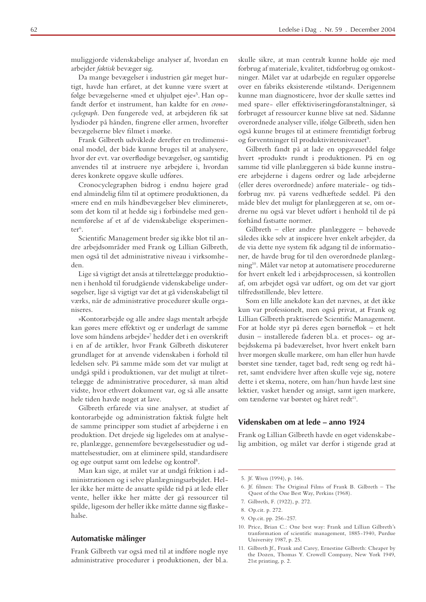muliggjorde videnskabelige analyser af, hvordan en arbejder faktisk bevæger sig.

Da mange bevægelser i industrien går meget hurtigt, havde han erfaret, at det kunne være svært at følge bevægelserne »med et uhjulpet øje«<sup>5</sup>. Han opfandt derfor et instrument, han kaldte for en cronocyclegraph. Den fungerede ved, at arbejderen fik sat lysdioder på hånden, fingrene eller armen, hvorefter bevægelserne blev filmet i mørke.

Frank Gilbreth udviklede derefter en tredimensional model, der både kunne bruges til at analysere, hvor der evt. var overflødige bevægelser, og samtidig anvendes til at instruere nye arbejdere i, hvordan deres konkrete opgave skulle udføres.

Cronocyclegraphen bidrog i endnu højere grad end almindelig film til at optimere produktionen, da »mere end en mils håndbevægelser blev elimineret«, som det kom til at hedde sig i forbindelse med gennemførelse af et af de videnskabelige eksperimen $ter<sup>6</sup>$ 

Scientific Management breder sig ikke blot til andre arbejdsområder med Frank og Lillian Gilbreth, men også til det administrative niveau i virksomheden.

Lige så vigtigt det ansås at tilrettelægge produktionen i henhold til forudgående videnskabelige undersøgelser, lige så vigtigt var det at gå videnskabeligt til værks, når de administrative procedurer skulle organiseres.

»Kontorarbejde og alle andre slags mentalt arbejde kan gøres mere effektivt og er underlagt de samme love som håndens arbejde«<sup>7</sup> hedder det i en overskrift i en af de artikler, hvor Frank Gilbreth diskuterer grundlaget for at anvende videnskaben i forhold til ledelsen selv. På samme måde som det var muligt at undgå spild i produktionen, var det muligt at tilrettelægge de administrative procedurer, så man altid vidste, hvor ethvert dokument var, og så alle ansatte hele tiden havde noget at lave.

Gilbreth erfarede via sine analyser, at studiet af kontorarbejde og administration faktisk fulgte helt de samme principper som studiet af arbejderne i en produktion. Det drejede sig ligeledes om at analysere, planlægge, gennemføre bevægelsesstudier og udmattelsesstudier, om at eliminere spild, standardisere og øge output samt om ledelse og kontrol<sup>8</sup>.

Man kan sige, at målet var at undgå friktion i administrationen og i selve planlægningsarbejdet. Heller ikke her måtte de ansatte spilde tid på at lede eller vente, heller ikke her måtte der gå ressourcer til spilde, ligesom der heller ikke måtte danne sig flaskehalse.

## Automatiske målinger

Frank Gilbreth var også med til at indføre nogle nye administrative procedurer i produktionen, der bl.a.

skulle sikre, at man centralt kunne holde øje med forbrug af materiale, kvalitet, tidsforbrug og omkostninger. Målet var at udarbejde en regulær opgørelse over en fabriks eksisterende »tilstand«. Derigennem kunne man diagnosticere, hvor der skulle sættes ind med spare- eller effektiviseringsforanstaltninger, så forbruget af ressourcer kunne blive sat ned. Sådanne overordnede analyser ville, ifølge Gilbreth, siden hen også kunne bruges til at estimere fremtidigt forbrug og forventninger til produktivitetsniveauet<sup>9</sup>.

Gilbreth fandt på at lade en opgaveseddel følge hvert »produkt« rundt i produktionen. På en og samme tid ville planlæggeren så både kunne instruere arbejderne i dagens ordrer og lade arbejderne (eller deres overordnede) anføre materiale- og tidsforbrug mv. på varens vedhæftede seddel. På den måde blev det muligt for planlæggeren at se, om ordrerne nu også var blevet udført i henhold til de på forhånd fastsatte normer.

Gilbreth - eller andre planlæggere - behøvede således ikke selv at inspicere hver enkelt arbejder, da de via dette nye system fik adgang til de informationer, de havde brug for til den overordnede planlægning<sup>10</sup>. Målet var netop at automatisere procedurerne for hvert enkelt led i arbejdsprocessen, så kontrollen af, om arbejdet også var udført, og om det var gjort tilfredsstillende, blev lettere.

Som en lille anekdote kan det nævnes, at det ikke kun var professionelt, men også privat, at Frank og Lillian Gilbreth praktiserede Scientific Management. For at holde styr på deres egen børneflok - et helt dusin – installerede faderen bl.a. et proces- og arbejdsskema på badeværelset, hvor hvert enkelt barn hver morgen skulle markere, om han eller hun havde børstet sine tænder, taget bad, redt seng og redt håret, samt endvidere hver aften skulle veje sig, notere dette i et skema, notere, om han/hun havde læst sine lektier, vasket hænder og ansigt, samt igen markere, om tænderne var børstet og håret redt<sup>11</sup>.

# Videnskaben om at lede – anno 1924

Frank og Lillian Gilbreth havde en øget videnskabelig ambition, og målet var derfor i stigende grad at

- 6. Jf. filmen: The Original Films of Frank B. Gilbreth The Quest of the One Best Way, Perkins (1968).
- 7. Gilbreth, F. (1922), p. 272.
- 8. Op.cit. p. 272.
- 9. Op.cit. pp. 256-257.
- 10. Price, Brian C.: One best way: Frank and Lillian Gilbreth's tranformation of scientific management, 1885-1940, Purdue University 1987, p. 25.
- 11. Gilbreth Jf., Frank and Carey, Ernestine Gilbreth: Cheaper by the Dozen, Thomas Y. Crowell Company, New York 1949, 21st printing, p. 2.

<sup>5.</sup> Jf. Wren (1994), p. 146.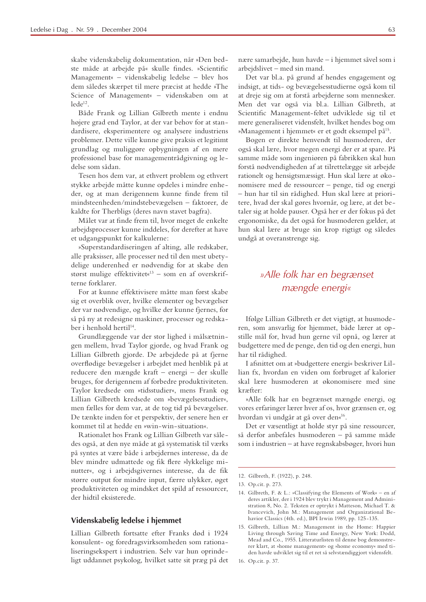skabe videnskabelig dokumentation, når »Den bedste måde at arbejde på« skulle findes. »Scientific Management« – videnskabelig ledelse – blev hos dem således skærpet til mere præcist at hedde »The Science of Management« - videnskaben om at  $lede<sup>12</sup>$ .

Både Frank og Lillian Gilbreth mente i endnu højere grad end Taylor, at der var behov for at standardisere, eksperimentere og analysere industriens problemer. Dette ville kunne give praksis et legitimt grundlag og muliggøre opbygningen af en mere professionel base for managementrådgivning og ledelse som sådan.

Tesen hos dem var, at ethvert problem og ethvert stykke arbejde måtte kunne opdeles i mindre enheder, og at man derigennem kunne finde frem til mindsteenheden/mindstebevægelsen - faktorer, de kaldte for Therbligs (deres navn stavet bagfra).

Målet var at finde frem til, hvor meget de enkelte arbejdsprocesser kunne inddeles, for derefter at have et udgangspunkt for kalkulerne:

»Superstandardiseringen af alting, alle redskaber, alle praksisser, alle processer ned til den mest ubetydelige underenhed er nødvendig for at skabe den størst mulige effektivitet«<sup>13</sup> – som en af overskrifterne forklarer.

For at kunne effektivisere måtte man først skabe sig et overblik over, hvilke elementer og bevægelser der var nødvendige, og hvilke der kunne fjernes, for så på ny at redesigne maskiner, processer og redskaber i henhold hertil<sup>14</sup>.

Grundlæggende var der stor lighed i målsætningen mellem, hvad Taylor gjorde, og hvad Frank og Lillian Gilbreth gjorde. De arbejdede på at fjerne overflødige bevægelser i arbejdet med henblik på at reducere den mængde kraft - energi - der skulle bruges, for derigennem af forbedre produktiviteten. Taylor kredsede om »tidsstudier«, mens Frank og Lillian Gilbreth kredsede om »bevægelsesstudier«, men fælles for dem var, at de tog tid på bevægelser. De tænkte inden for et perspektiv, der senere hen er kommet til at hedde en »win-win-situation«.

Rationalet hos Frank og Lillian Gilbreth var således også, at den nye måde at gå systematisk til værks på syntes at være både i arbejdernes interesse, da de blev mindre udmattede og fik flere »lykkelige minutter«, og i arbejdsgivernes interesse, da de fik større output for mindre input, færre ulykker, øget produktiviteten og mindsket det spild af ressourcer, der hidtil eksisterede.

# Videnskabelig ledelse i hjemmet

Lillian Gilbreth fortsatte efter Franks død i 1924 konsulent- og foredragsvirksomheden som rationaliseringsekspert i industrien. Selv var hun oprindeligt uddannet psykolog, hvilket satte sit præg på det nære samarbejde, hun havde - i hjemmet såvel som i arbejdslivet - med sin mand.

Det var bl.a. på grund af hendes engagement og indsigt, at tids- og bevægelsesstudierne også kom til at dreje sig om at forstå arbejderne som mennesker. Men det var også via bl.a. Lillian Gilbreth, at Scientific Management-feltet udviklede sig til et mere generaliseret vidensfelt, hvilket hendes bog om »Management i hjemmet« er et godt eksempel på<sup>15</sup>.

Bogen er direkte henvendt til husmoderen, der også skal lære, hvor megen energi der er at spare. På samme måde som ingeniøren på fabrikken skal hun forstå nødvendigheden af at tilrettelægge sit arbejde rationelt og hensigtsmæssigt. Hun skal lære at økonomisere med de ressourcer – penge, tid og energi - hun har til sin rådighed. Hun skal lære at prioritere, hvad der skal gøres hvornår, og lære, at det betaler sig at holde pauser. Også her er der fokus på det ergonomiske, da det også for husmoderen gælder, at hun skal lære at bruge sin krop rigtigt og således undgå at overanstrenge sig.

# »Alle folk har en begrænset mængde energi«

Ifølge Lillian Gilbreth er det vigtigt, at husmoderen, som ansvarlig for hjemmet, både lærer at opstille mål for, hvad hun gerne vil opnå, og lærer at budgettere med de penge, den tid og den energi, hun har til rådighed.

I afsnittet om at »budgettere energi« beskriver Lillian fx, hvordan en viden om forbruget af kalorier skal lære husmoderen at økonomisere med sine  $kr$ rnfter

»Alle folk har en begrænset mængde energi, og vores erfaringer lærer hver af os, hvor grænsen er, og hvordan vi undgår at gå over den«<sup>16</sup>.

Det er væsentligt at holde styr på sine ressourcer, så derfor anbefales husmoderen – på samme måde som i industrien – at have regnskabsbøger, hvori hun

16. Op.cit. p. 37.

<sup>12.</sup> Gilbreth, F. (1922), p. 248.

<sup>13.</sup> Op.cit. p. 273.

<sup>14.</sup> Gilbreth, F. & L.: »Classifying the Elements of Work« - en af deres artikler, der i 1924 blev trykt i Management and Administration 8, No. 2. Teksten er optrykt i Matteson, Michael T. & Ivancevich, John M.: Management and Organizational Behavior Classics (4th. ed.), BPI Irwin 1989, pp. 125-135.

<sup>15.</sup> Gilbreth, Lillian M.: Management in the Home: Happier Living through Saving Time and Energy, New York: Dodd, Mead and Co., 1955. Litteraturlisten til denne bog demonstrerer klart, at »home management« og »home economy« med tiden havde udviklet sig til et ret så selvstændiggjort vidensfelt.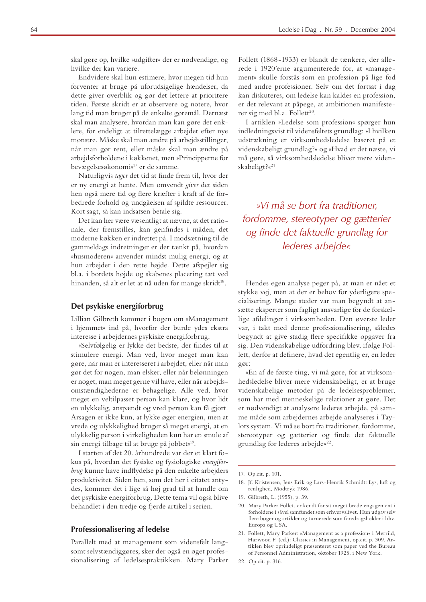skal gøre op, hvilke »udgifter« der er nødvendige, og hvilke der kan variere.

Endvidere skal hun estimere, hvor megen tid hun forventer at bruge på uforudsigelige hændelser, da dette giver overblik og gør det lettere at prioritere tiden. Første skridt er at observere og notere, hvor lang tid man bruger på de enkelte gøremål. Dernæst skal man analysere, hvordan man kan gøre det enklere, for endeligt at tilrettelægge arbejdet efter nye mønstre. Måske skal man ændre på arbejdsstillinger, når man gør rent, eller måske skal man ændre på arbejdsforholdene i køkkenet, men »Principperne for bevægelsesøkonomi«<sup>17</sup> er de samme.

Naturligvis tager det tid at finde frem til, hvor der er ny energi at hente. Men omvendt giver det siden hen også mere tid og flere kræfter i kraft af de forbedrede forhold og undgåelsen af spildte ressourcer. Kort sagt, så kan indsatsen betale sig.

Det kan her være væsentligt at nævne, at det rationale, der fremstilles, kan genfindes i måden, det moderne køkken er indrettet på. I modsætning til de gammeldags indretninger er der tænkt på, hvordan »husmoderen« anvender mindst mulig energi, og at hun arbejder i den rette højde. Dette afspejler sig bl.a. i bordets højde og skabenes placering tæt ved hinanden, så alt er let at nå uden for mange skridt<sup>18</sup>.

#### Det psykiske energiforbrug

Lillian Gilbreth kommer i bogen om »Management i hjemmet« ind på, hvorfor der burde ydes ekstra interesse i arbejdernes psykiske energiforbrug:

»Selvfølgelig er lykke det bedste, der findes til at stimulere energi. Man ved, hvor meget man kan gøre, når man er interesseret i arbejdet, eller når man gør det for nogen, man elsker, eller når belønningen er noget, man meget gerne vil have, eller når arbejdsomstændighederne er behagelige. Alle ved, hvor meget en veltilpasset person kan klare, og hvor lidt en ulykkelig, anspændt og vred person kan få gjort. Årsagen er ikke kun, at lykke øger energien, men at vrede og ulykkelighed bruger så meget energi, at en ulykkelig person i virkeligheden kun har en smule af sin energi tilbage til at bruge på jobbet«<sup>19</sup>.

I starten af det 20. århundrede var der et klart fokus på, hvordan det fysiske og fysiologiske energiforbrug kunne have indflydelse på den enkelte arbejders produktivitet. Siden hen, som det her i citatet antydes, kommer det i lige så høj grad til at handle om det psykiske energiforbrug. Dette tema vil også blive behandlet i den tredje og fjerde artikel i serien.

## **Professionalisering af ledelse**

Parallelt med at management som vidensfelt langsomt selvstændiggøres, sker der også en øget professionalisering af ledelsespraktikken. Mary Parker Follett (1868-1933) er blandt de tænkere, der allerede i 1920'erne argumenterede for, at »management« skulle forstås som en profession på lige fod med andre professioner. Selv om det fortsat i dag kan diskuteres, om ledelse kan kaldes en profession, er det relevant at påpege, at ambitionen manifesterer sig med bl.a. Follett<sup>20</sup>.

I artiklen »Ledelse som profession« spørger hun indledningsvist til vidensfeltets grundlag: »I hvilken udstrækning er virksomhedsledelse baseret på et videnskabeligt grundlag?« og »Hvad er det næste, vi må gøre, så virksomhedsledelse bliver mere videnskabeligt?«<sup>21</sup>

»Vi må se bort fra traditioner, fordomme, stereotyper og gætterier og finde det faktuelle grundlag for lederes arbeide«

Hendes egen analyse peger på, at man er nået et stykke vej, men at der er behov for yderligere specialisering. Mange steder var man begyndt at ansætte eksperter som fagligt ansvarlige for de forskellige afdelinger i virksomheden. Den øverste leder var, i takt med denne professionalisering, således begyndt at give stadig flere specifikke opgaver fra sig. Den videnskabelige udfordring blev, ifølge Follett, derfor at definere, hvad det egentlig er, en leder  $\sigma$ or:

»En af de første ting, vi må gøre, for at virksomhedsledelse bliver mere videnskabeligt, er at bruge videnskabelige metoder på de ledelsesproblemer, som har med menneskelige relationer at gøre. Det er nødvendigt at analysere lederes arbejde, på samme måde som arbejdernes arbejde analyseres i Taylors system. Vi må se bort fra traditioner, fordomme, stereotyper og gætterier og finde det faktuelle grundlag for lederes arbejde«<sup>22</sup>.

- 18. If. Kristensen, Jens Erik og Lars-Henrik Schmidt: Lys, luft og renlighed, Modtryk 1986.
- 19. Gilbreth, L. (1955), p. 39.
- 20. Mary Parker Follett er kendt for sit meget brede engagement i forholdene i såvel samfundet som erhvervslivet. Hun udgav selv flere bøger og artikler og turnerede som foredragsholder i hhv. Europa og USA.
- 21. Follett, Mary Parker: »Management as a profession« i Merrild, Harwood F. (ed.): Classics in Management, op.cit. p. 309. Artiklen blev oprindeligt præsenteret som paper ved the Bureau of Personnel Administration, oktober 1925, i New York.
- 22. Op.cit. p. 316.

<sup>17.</sup> Op.cit. p. 101.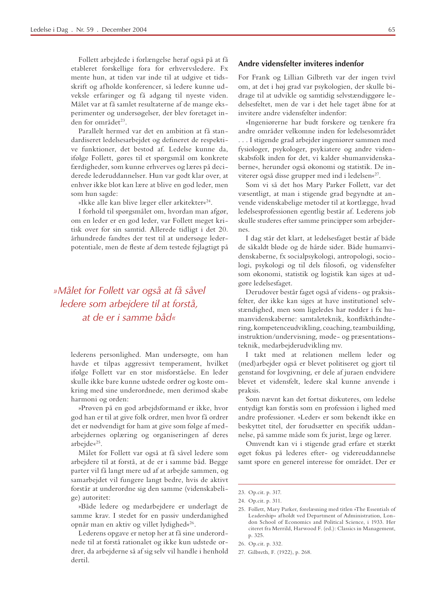Follett arbejdede i forlængelse heraf også på at få etableret forskellige fora for erhvervsledere. Fx mente hun, at tiden var inde til at udgive et tidsskrift og afholde konferencer, så ledere kunne udveksle erfaringer og få adgang til nyeste viden. Målet var at få samlet resultaterne af de mange eksperimenter og undersøgelser, der blev foretaget inden for området<sup>23</sup>.

Parallelt hermed var det en ambition at få standardiseret ledelsesarbejdet og defineret de respektive funktioner, det bestod af. Ledelse kunne da, ifølge Follett, gøres til et spørgsmål om konkrete færdigheder, som kunne erhverves og læres på deciderede lederuddannelser. Hun var godt klar over, at enhver ikke blot kan lære at blive en god leder, men som hun sagde:

»Ikke alle kan blive læger eller arkitekter«<sup>24</sup>.

I forhold til spørgsmålet om, hvordan man afgør, om en leder er en god leder, var Follett meget kritisk over for sin samtid. Allerede tidligt i det 20. århundrede fandtes der test til at undersøge lederpotentiale, men de fleste af dem testede fejlagtigt på

# »Målet for Follett var også at få såvel ledere som arbejdere til at forstå, at de er i samme håd«

lederens personlighed. Man undersøgte, om han havde et tilpas aggressivt temperament, hvilket ifølge Follett var en stor misforståelse. En leder skulle ikke bare kunne udstede ordrer og koste omkring med sine underordnede, men derimod skabe harmoni og orden:

»Prøven på en god arbejdsformand er ikke, hvor god han er til at give folk ordrer, men hvor få ordrer det er nødvendigt for ham at give som følge af medarbejdernes oplæring og organiseringen af deres arbeide«<sup>25</sup>.

Målet for Follett var også at få såvel ledere som arbejdere til at forstå, at de er i samme båd. Begge parter vil få langt mere ud af at arbejde sammen, og samarbejdet vil fungere langt bedre, hvis de aktivt forstår at underordne sig den samme (videnskabelige) autoritet:

»Både ledere og medarbejdere er underlagt de samme krav. I stedet for en passiv underdanighed opnår man en aktiv og villet lydighed«<sup>26</sup>.

Lederens opgave er netop her at få sine underordnede til at forstå rationalet og ikke kun udstede ordrer, da arbejderne så af sig selv vil handle i henhold dertil.

For Frank og Lillian Gilbreth var der ingen tvivl om, at det i høj grad var psykologien, der skulle bidrage til at udvikle og samtidig selvstændiggøre ledelsesfeltet, men de var i det hele taget åbne for at invitere andre vidensfelter indenfor:

»Ingeniørerne har budt forskere og tænkere fra andre områder velkomne inden for ledelsesområdet ... I stigende grad arbejder ingeniører sammen med fysiologer, psykologer, psykiatere og andre videnskabsfolk inden for det, vi kalder »humanvidenskaberne«, herunder også økonomi og statistik. De inviterer også disse grupper med ind i ledelsen«<sup>27</sup>.

Som vi så det hos Mary Parker Follett, var det væsentligt, at man i stigende grad begyndte at anvende videnskabelige metoder til at kortlægge, hvad ledelsesprofessionen egentlig består af. Lederens job skulle studeres efter samme principper som arbejder $nec$ 

I dag står det klart, at ledelsesfaget består af både de såkaldt bløde og de hårde sider. Både humanvidenskaberne, fx socialpsykologi, antropologi, sociologi, psykologi og til dels filosofi, og vidensfelter som økonomi, statistik og logistik kan siges at udgøre ledelsesfaget.

Derudover består faget også af videns- og praksisfelter, der ikke kan siges at have institutionel selvstændighed, men som ligeledes har rødder i fx humanvidenskaberne: samtaleteknik, konflikthåndtering, kompetenceudvikling, coaching, teambuilding, instruktion/undervisning, møde- og præsentationsteknik, medarbejderudvikling mv.

I takt med at relationen mellem leder og (med)arbejder også er blevet politiseret og gjort til genstand for lovgivning, er dele af juraen endvidere blevet et vidensfelt, ledere skal kunne anvende i praksis.

Som nævnt kan det fortsat diskuteres, om ledelse entydigt kan forstås som en profession i lighed med andre professioner. »Leder« er som bekendt ikke en beskyttet titel, der forudsætter en specifik uddannelse, på samme måde som fx jurist, læge og lærer.

Omvendt kan vi i stigende grad erfare et stærkt øget fokus på lederes efter- og videreuddannelse samt spore en generel interesse for området. Der er

- 26. Op.cit. p. 332.
- 27. Gilbreth, F. (1922), p. 268.

<sup>23.</sup> Op.cit. p. 317.

<sup>24.</sup> Op.cit. p. 311.

<sup>25.</sup> Follett, Mary Parker, forelæsning med titlen »The Essentials of Leadership« afholdt ved Department of Administration, London School of Economics and Political Science, i 1933. Her citeret fra Merrild, Harwood F. (ed.): Classics in Management, p. 325.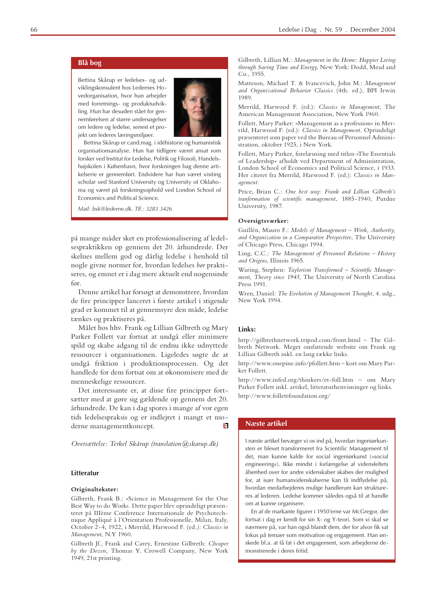# **Blå** bog

Bettina Skårup er ledelses- og udviklingskonsulent hos Ledernes Hovedorganisation, hvor hun arbejder med forretnings- og produktudvikling. Hun har desuden stået for gennemførelsen af større undersøgelser om ledere og ledelse, senest et projekt om lederes læringsmiljøer.



Bettina Skårup er cand.mag. i idéhistorie og humanistisk organisationsanalyse. Hun har tidligere været ansat som forsker ved Institut for Ledelse, Politik og Filosofi, Handelshøjskolen i København, hvor forskningen bag denne artikelserie er gennemført. Endvidere har hun været visiting scholar ved Stanford University og University of Oklahoma og været på forskningsophold ved London School of Economics and Political Science.

*Mail* · *bsk* @lederne dk Tlf · 3283 3426

på mange måder sket en professionalisering af ledelsespraktikken op gennem det 20. århundrede. Der skelnes mellem god og dårlig ledelse i henhold til nogle givne normer for, hvordan ledelses *bør* praktiseres, og emnet er i dag mere aktuelt end nogensinde  $for$ 

Denne artikel har forsøgt at demonstrere, hvordan de fire principper lanceret i første artikel i stigende grad er kommet til at gennemsyre den måde, ledelse tænkes og praktiseres på.

Målet hos hhv. Frank og Lillian Gilbreth og Mary Parker Follett var fortsat at undgå eller minimere spild og skabe adgang til de endnu ikke udnyttede ressourcer i organisationen. Ligeledes søgte de at undgå friktion i produktionsprocessen. Og det handlede for dem fortsat om at økonomisere med de menneskelige ressourcer.

Det interessante er, at disse fire principper fortsætter med at gøre sig gældende op gennem det 20. århundrede. De kan i dag spores i mange af vor egen tids ledelsespraksis og er indlejret i mangt et moderne managementkoncept.  $\mathbf{E}$ 

*<u>Oversættelse: Terkel Skårup (translation @skarup.dk)</u>* 

#### **Litteratur**

#### **Originaltekster:**

Gilbreth, Frank B.: »Science in Management for the One Best Way to do Work«. Dette paper blev oprindeligt præsenteret på IIIème Conference Internationale de Psychotechnique Appliqué à l'Orientation Professionelle, Milan, Italy, October 2-4, 1922, i Merrild, Harwood F. (ed.): Classics in *Management*, N.Y 1960.

Gilbreth Jf., Frank and Carey, Ernestine Gilbreth: Cheaper by the Dozen, Thomas Y. Crowell Company, New York  $1949$ ,  $21st$  printing.

Gilbreth, Lillian M.: Management in the Home: Happier Living *through Saving Time and Energy*, New York: Dodd, Mead and Co., 1955.

Matteson, Michael T. & Ivancevich, John M.: Management and Organizational Behavior Classics (4th. ed.), BPI Irwin 1989.

Merrild, Harwood F. (ed.): Classics in Management, The American Management Association, New York 1960.

Follett, Mary Parker: »Management as a profession« in Merrild, Harwood F. (ed.): Classics in Management. Oprindeligt præsenteret som paper ved the Bureau of Personnel Administration, oktober 1925, i New York.

Follett, Mary Parker, forelæsning med titlen »The Essentials of Leadership« afholdt ved Department of Administration, London School of Economics and Political Science, i 1933. Her citeret fra Merrild, Harwood F. (ed.): Classics in Man-*AGEMENT*

Price, Brian C.: One best way: Frank and Lillian Gilbreth's tranformation of scientific management, 1885-1940, Purdue University, 1987.

#### Oversigtsværker:

Guillén, Mauro F.: Models of Management - Work, Authority, *And Organization in a Comparative Perspective*, The University of Chicago Press, Chicago 1994.

*Ling, C.C.: The Management of Personnel Relations - History* and Origins, Illinois 1965.

Waring, Stephen: Taylorism Transformed - Scientific Manage*ment, Theory since 1945, The University of North Carolina* Press 1991.

Wren, Daniel: The Evolution of Management Thought, 4. udg., New York 1994

#### Links:

http://gilbrethnetwork.tripod.com/front.html - The Gilbreth Network. Meget omfattende website om Frank og Lillian Gilbreth inkl. en lang række links.

http://www.onepine.info/pfollett.htm - kort om Mary Parker Follett.

http://www.infed.org/thinkers/et-foll.htm - om Mary Parker Follett inkl. artikel, litteraturhenvisninger og links. http://www.follettfoundation.org/

#### **Næste artikel**

I næste artikel bevæger vi os ind på, hvordan ingeniørkunsten er blevet transformeret fra Scientific Management til det, man kunne kalde for social ingeniørkunst (»social engineering«). Ikke mindst i forlængelse af vidensfeltets åbenhed over for andre videnskaber skabes der mulighed for, at især humanvidenskaberne kan få indflydelse på, hvordan medarbejderes mulige handlerum kan struktureres af lederen. Ledelse kommer således også til at handle om at kunne organisere.

En af de markante figurer i 1950'erne var McGregor, der fortsat i dag er kendt for sin X- og Y-teori. Som vi skal se nærmere på, var han også blandt dem, der for alvor fik sat fokus på temaer som motivation og engagement. Han ønskede bl.a. at få fat i det engagement, som arbejderne demonstrerede i deres fritid.